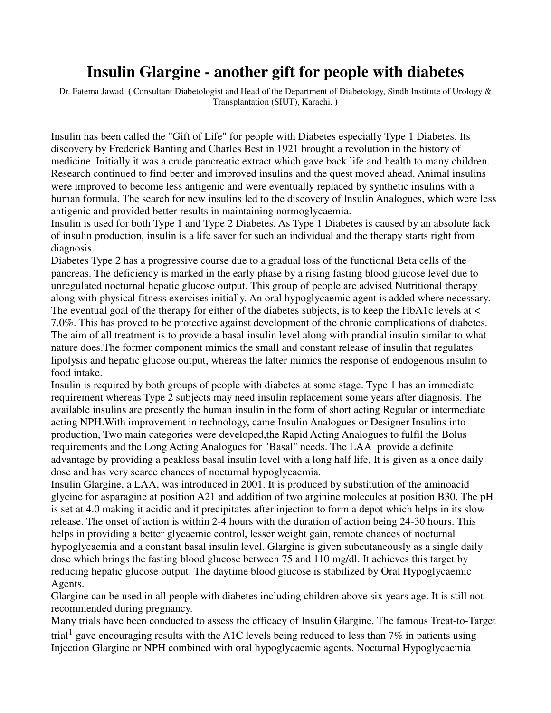## **Insulin Glargine - another gift for people with diabetes**

Dr. Fatema Jawad **(** Consultant Diabetologist and Head of the Department of Diabetology, Sindh Institute of Urology & Transplantation (SIUT), Karachi. **)**

Insulin has been called the "Gift of Life" for people with Diabetes especially Type 1 Diabetes. Its discovery by Frederick Banting and Charles Best in 1921 brought a revolution in the history of medicine. Initially it was a crude pancreatic extract which gave back life and health to many children. Research continued to find better and improved insulins and the quest moved ahead. Animal insulins were improved to become less antigenic and were eventually replaced by synthetic insulins with a human formula. The search for new insulins led to the discovery of Insulin Analogues, which were less antigenic and provided better results in maintaining normoglycaemia.

Insulin is used for both Type 1 and Type 2 Diabetes. As Type 1 Diabetes is caused by an absolute lack of insulin production, insulin is a life saver for such an individual and the therapy starts right from diagnosis.

Diabetes Type 2 has a progressive course due to a gradual loss of the functional Beta cells of the pancreas. The deficiency is marked in the early phase by a rising fasting blood glucose level due to unregulated nocturnal hepatic glucose output. This group of people are advised Nutritional therapy along with physical fitness exercises initially. An oral hypoglycaemic agent is added where necessary. The eventual goal of the therapy for either of the diabetes subjects, is to keep the HbA1c levels at < 7.0%. This has proved to be protective against development of the chronic complications of diabetes. The aim of all treatment is to provide a basal insulin level along with prandial insulin similar to what nature does.The former component mimics the small and constant release of insulin that regulates lipolysis and hepatic glucose output, whereas the latter mimics the response of endogenous insulin to food intake.

Insulin is required by both groups of people with diabetes at some stage. Type 1 has an immediate requirement whereas Type 2 subjects may need insulin replacement some years after diagnosis. The available insulins are presently the human insulin in the form of short acting Regular or intermediate acting NPH.With improvement in technology, came Insulin Analogues or Designer Insulins into production, Two main categories were developed,the Rapid Acting Analogues to fulfil the Bolus requirements and the Long Acting Analogues for "Basal" needs. The LAA provide a definite advantage by providing a peakless basal insulin level with a long half life, It is given as a once daily dose and has very scarce chances of nocturnal hypoglycaemia.

Insulin Glargine, a LAA, was introduced in 2001. It is produced by substitution of the aminoacid glycine for asparagine at position A21 and addition of two arginine molecules at position B30. The pH is set at 4.0 making it acidic and it precipitates after injection to form a depot which helps in its slow release. The onset of action is within 2-4 hours with the duration of action being 24-30 hours. This helps in providing a better glycaemic control, lesser weight gain, remote chances of nocturnal hypoglycaemia and a constant basal insulin level. Glargine is given subcutaneously as a single daily dose which brings the fasting blood glucose between 75 and 110 mg/dl. It achieves this target by reducing hepatic glucose output. The daytime blood glucose is stabilized by Oral Hypoglycaemic Agents.

Glargine can be used in all people with diabetes including children above six years age. It is still not recommended during pregnancy.

Many trials have been conducted to assess the efficacy of Insulin Glargine. The famous Treat-to-Target trial<sup>1</sup> gave encouraging results with the A1C levels being reduced to less than 7% in patients using Injection Glargine or NPH combined with oral hypoglycaemic agents. Nocturnal Hypoglycaemia